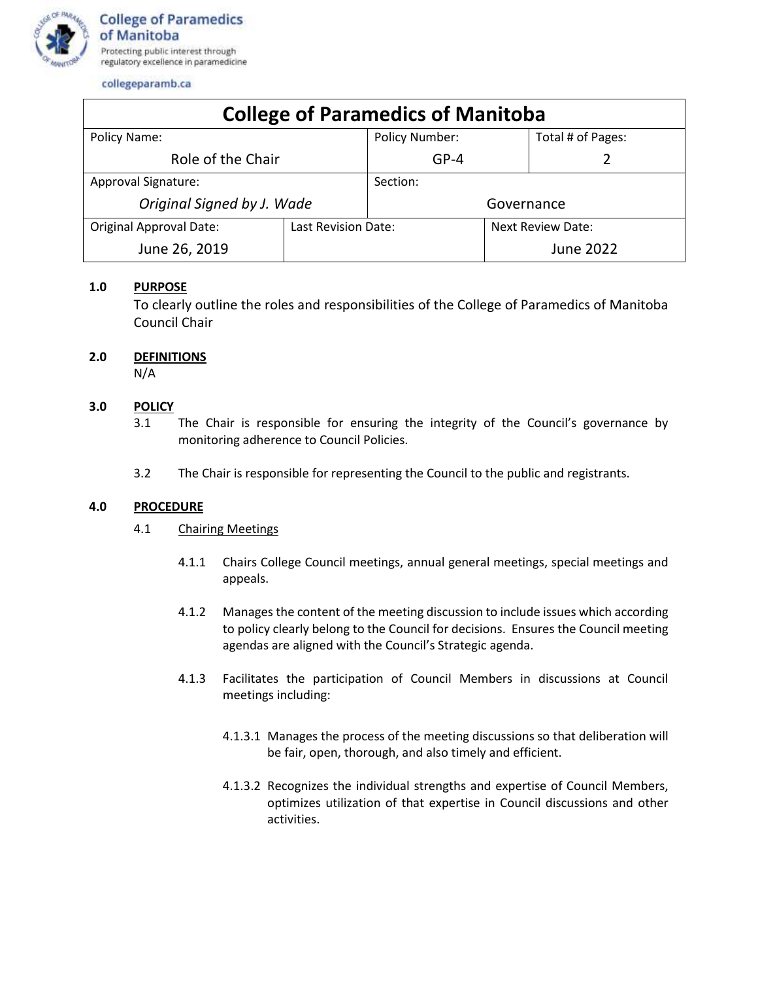

collegeparamb.ca

| <b>College of Paramedics of Manitoba</b> |                     |                       |                   |                   |
|------------------------------------------|---------------------|-----------------------|-------------------|-------------------|
| Policy Name:                             |                     | <b>Policy Number:</b> |                   | Total # of Pages: |
| Role of the Chair                        |                     | $GP-4$                |                   |                   |
| <b>Approval Signature:</b>               |                     | Section:              |                   |                   |
| Original Signed by J. Wade               |                     | Governance            |                   |                   |
| <b>Original Approval Date:</b>           | Last Revision Date: |                       | Next Review Date: |                   |
| June 26, 2019                            |                     |                       |                   | <b>June 2022</b>  |

## **1.0 PURPOSE**

To clearly outline the roles and responsibilities of the College of Paramedics of Manitoba Council Chair

## **2.0 DEFINITIONS**

N/A

# **3.0 POLICY**

- 3.1 The Chair is responsible for ensuring the integrity of the Council's governance by monitoring adherence to Council Policies.
- 3.2 The Chair is responsible for representing the Council to the public and registrants.

#### **4.0 PROCEDURE**

#### 4.1 Chairing Meetings

- 4.1.1 Chairs College Council meetings, annual general meetings, special meetings and appeals.
- 4.1.2 Manages the content of the meeting discussion to include issues which according to policy clearly belong to the Council for decisions. Ensures the Council meeting agendas are aligned with the Council's Strategic agenda.
- 4.1.3 Facilitates the participation of Council Members in discussions at Council meetings including:
	- 4.1.3.1 Manages the process of the meeting discussions so that deliberation will be fair, open, thorough, and also timely and efficient.
	- 4.1.3.2 Recognizes the individual strengths and expertise of Council Members, optimizes utilization of that expertise in Council discussions and other activities.